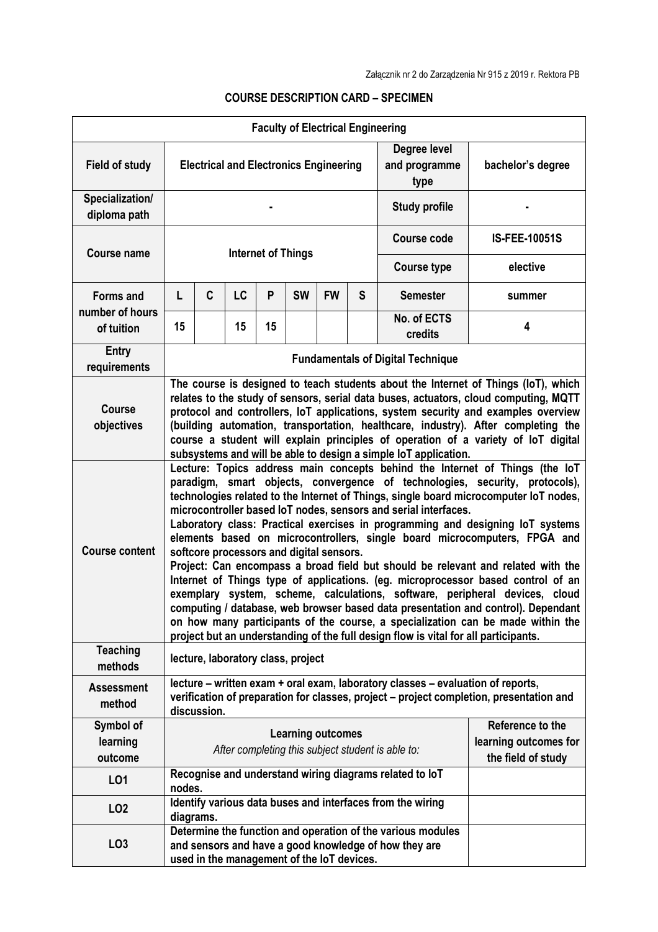|                                     |                                                                                                                                                                                                                                                                                                                                                                                                                                                                                                                                                                                                                                                                                                                                                                                                                                                                                                                                                                                                                                                          |   |    |    | <b>Faculty of Electrical Engineering</b>   |                                                   |   |                                                                                                                      |                                                                                                                                                                                                                                                                                                                                                                                                                                           |
|-------------------------------------|----------------------------------------------------------------------------------------------------------------------------------------------------------------------------------------------------------------------------------------------------------------------------------------------------------------------------------------------------------------------------------------------------------------------------------------------------------------------------------------------------------------------------------------------------------------------------------------------------------------------------------------------------------------------------------------------------------------------------------------------------------------------------------------------------------------------------------------------------------------------------------------------------------------------------------------------------------------------------------------------------------------------------------------------------------|---|----|----|--------------------------------------------|---------------------------------------------------|---|----------------------------------------------------------------------------------------------------------------------|-------------------------------------------------------------------------------------------------------------------------------------------------------------------------------------------------------------------------------------------------------------------------------------------------------------------------------------------------------------------------------------------------------------------------------------------|
| <b>Field of study</b>               | <b>Electrical and Electronics Engineering</b>                                                                                                                                                                                                                                                                                                                                                                                                                                                                                                                                                                                                                                                                                                                                                                                                                                                                                                                                                                                                            |   |    |    |                                            |                                                   |   | Degree level<br>and programme<br>type                                                                                | bachelor's degree                                                                                                                                                                                                                                                                                                                                                                                                                         |
| Specialization/<br>diploma path     |                                                                                                                                                                                                                                                                                                                                                                                                                                                                                                                                                                                                                                                                                                                                                                                                                                                                                                                                                                                                                                                          |   |    |    |                                            |                                                   |   | <b>Study profile</b>                                                                                                 |                                                                                                                                                                                                                                                                                                                                                                                                                                           |
| <b>Course name</b>                  | <b>Internet of Things</b>                                                                                                                                                                                                                                                                                                                                                                                                                                                                                                                                                                                                                                                                                                                                                                                                                                                                                                                                                                                                                                |   |    |    |                                            |                                                   |   | <b>Course code</b>                                                                                                   | <b>IS-FEE-10051S</b>                                                                                                                                                                                                                                                                                                                                                                                                                      |
|                                     |                                                                                                                                                                                                                                                                                                                                                                                                                                                                                                                                                                                                                                                                                                                                                                                                                                                                                                                                                                                                                                                          |   |    |    |                                            |                                                   |   | <b>Course type</b>                                                                                                   | elective                                                                                                                                                                                                                                                                                                                                                                                                                                  |
| <b>Forms and</b><br>number of hours | L                                                                                                                                                                                                                                                                                                                                                                                                                                                                                                                                                                                                                                                                                                                                                                                                                                                                                                                                                                                                                                                        | C | LC | P  | <b>SW</b>                                  | <b>FW</b>                                         | S | <b>Semester</b>                                                                                                      | summer                                                                                                                                                                                                                                                                                                                                                                                                                                    |
| of tuition                          | 15                                                                                                                                                                                                                                                                                                                                                                                                                                                                                                                                                                                                                                                                                                                                                                                                                                                                                                                                                                                                                                                       |   | 15 | 15 |                                            |                                                   |   | No. of ECTS<br>credits                                                                                               | 4                                                                                                                                                                                                                                                                                                                                                                                                                                         |
| <b>Entry</b><br>requirements        |                                                                                                                                                                                                                                                                                                                                                                                                                                                                                                                                                                                                                                                                                                                                                                                                                                                                                                                                                                                                                                                          |   |    |    |                                            |                                                   |   | <b>Fundamentals of Digital Technique</b>                                                                             |                                                                                                                                                                                                                                                                                                                                                                                                                                           |
| <b>Course</b><br>objectives         |                                                                                                                                                                                                                                                                                                                                                                                                                                                                                                                                                                                                                                                                                                                                                                                                                                                                                                                                                                                                                                                          |   |    |    |                                            |                                                   |   | subsystems and will be able to design a simple IoT application.                                                      | The course is designed to teach students about the Internet of Things (IoT), which<br>relates to the study of sensors, serial data buses, actuators, cloud computing, MQTT<br>protocol and controllers, IoT applications, system security and examples overview<br>(building automation, transportation, healthcare, industry). After completing the<br>course a student will explain principles of operation of a variety of loT digital |
| <b>Course content</b>               | Lecture: Topics address main concepts behind the Internet of Things (the loT<br>paradigm, smart objects, convergence of technologies, security, protocols),<br>technologies related to the Internet of Things, single board microcomputer IoT nodes,<br>microcontroller based IoT nodes, sensors and serial interfaces.<br>Laboratory class: Practical exercises in programming and designing IoT systems<br>elements based on microcontrollers, single board microcomputers, FPGA and<br>softcore processors and digital sensors.<br>Project: Can encompass a broad field but should be relevant and related with the<br>Internet of Things type of applications. (eg. microprocessor based control of an<br>exemplary system, scheme, calculations, software, peripheral devices, cloud<br>computing / database, web browser based data presentation and control). Dependant<br>on how many participants of the course, a specialization can be made within the<br>project but an understanding of the full design flow is vital for all participants. |   |    |    |                                            |                                                   |   |                                                                                                                      |                                                                                                                                                                                                                                                                                                                                                                                                                                           |
| <b>Teaching</b><br>methods          | lecture, laboratory class, project                                                                                                                                                                                                                                                                                                                                                                                                                                                                                                                                                                                                                                                                                                                                                                                                                                                                                                                                                                                                                       |   |    |    |                                            |                                                   |   |                                                                                                                      |                                                                                                                                                                                                                                                                                                                                                                                                                                           |
| <b>Assessment</b><br>method         | lecture – written exam + oral exam, laboratory classes – evaluation of reports,<br>verification of preparation for classes, project – project completion, presentation and<br>discussion.                                                                                                                                                                                                                                                                                                                                                                                                                                                                                                                                                                                                                                                                                                                                                                                                                                                                |   |    |    |                                            |                                                   |   |                                                                                                                      |                                                                                                                                                                                                                                                                                                                                                                                                                                           |
| Symbol of                           |                                                                                                                                                                                                                                                                                                                                                                                                                                                                                                                                                                                                                                                                                                                                                                                                                                                                                                                                                                                                                                                          |   |    |    | <b>Learning outcomes</b>                   |                                                   |   |                                                                                                                      | Reference to the                                                                                                                                                                                                                                                                                                                                                                                                                          |
| learning<br>outcome                 |                                                                                                                                                                                                                                                                                                                                                                                                                                                                                                                                                                                                                                                                                                                                                                                                                                                                                                                                                                                                                                                          |   |    |    |                                            | After completing this subject student is able to: |   |                                                                                                                      | learning outcomes for<br>the field of study                                                                                                                                                                                                                                                                                                                                                                                               |
| L01                                 | nodes.                                                                                                                                                                                                                                                                                                                                                                                                                                                                                                                                                                                                                                                                                                                                                                                                                                                                                                                                                                                                                                                   |   |    |    |                                            |                                                   |   | Recognise and understand wiring diagrams related to loT                                                              |                                                                                                                                                                                                                                                                                                                                                                                                                                           |
| LO <sub>2</sub>                     | diagrams.                                                                                                                                                                                                                                                                                                                                                                                                                                                                                                                                                                                                                                                                                                                                                                                                                                                                                                                                                                                                                                                |   |    |    |                                            |                                                   |   | Identify various data buses and interfaces from the wiring                                                           |                                                                                                                                                                                                                                                                                                                                                                                                                                           |
| LO <sub>3</sub>                     |                                                                                                                                                                                                                                                                                                                                                                                                                                                                                                                                                                                                                                                                                                                                                                                                                                                                                                                                                                                                                                                          |   |    |    | used in the management of the IoT devices. |                                                   |   | Determine the function and operation of the various modules<br>and sensors and have a good knowledge of how they are |                                                                                                                                                                                                                                                                                                                                                                                                                                           |

## **COURSE DESCRIPTION CARD – SPECIMEN**